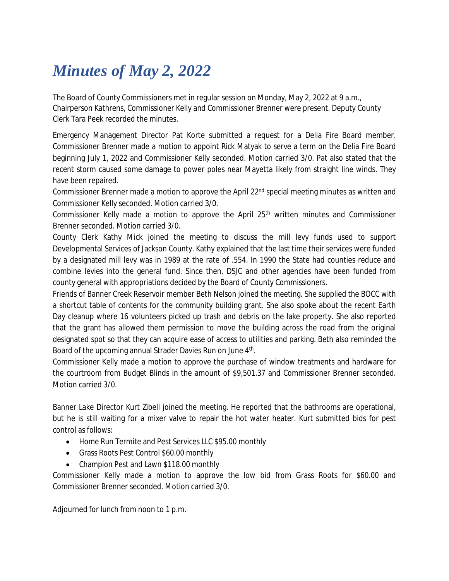## *Minutes of May 2, 2022*

The Board of County Commissioners met in regular session on Monday, May 2, 2022 at 9 a.m., Chairperson Kathrens, Commissioner Kelly and Commissioner Brenner were present. Deputy County Clerk Tara Peek recorded the minutes.

Emergency Management Director Pat Korte submitted a request for a Delia Fire Board member. Commissioner Brenner made a motion to appoint Rick Matyak to serve a term on the Delia Fire Board beginning July 1, 2022 and Commissioner Kelly seconded. Motion carried 3/0. Pat also stated that the recent storm caused some damage to power poles near Mayetta likely from straight line winds. They have been repaired.

Commissioner Brenner made a motion to approve the April 22<sup>nd</sup> special meeting minutes as written and Commissioner Kelly seconded. Motion carried 3/0.

Commissioner Kelly made a motion to approve the April  $25<sup>th</sup>$  written minutes and Commissioner Brenner seconded. Motion carried 3/0.

County Clerk Kathy Mick joined the meeting to discuss the mill levy funds used to support Developmental Services of Jackson County. Kathy explained that the last time their services were funded by a designated mill levy was in 1989 at the rate of .554. In 1990 the State had counties reduce and combine levies into the general fund. Since then, DSJC and other agencies have been funded from county general with appropriations decided by the Board of County Commissioners.

Friends of Banner Creek Reservoir member Beth Nelson joined the meeting. She supplied the BOCC with a shortcut table of contents for the community building grant. She also spoke about the recent Earth Day cleanup where 16 volunteers picked up trash and debris on the lake property. She also reported that the grant has allowed them permission to move the building across the road from the original designated spot so that they can acquire ease of access to utilities and parking. Beth also reminded the Board of the upcoming annual Strader Davies Run on June 4<sup>th</sup>.

Commissioner Kelly made a motion to approve the purchase of window treatments and hardware for the courtroom from Budget Blinds in the amount of \$9,501.37 and Commissioner Brenner seconded. Motion carried 3/0.

Banner Lake Director Kurt Zibell joined the meeting. He reported that the bathrooms are operational, but he is still waiting for a mixer valve to repair the hot water heater. Kurt submitted bids for pest control as follows:

- Home Run Termite and Pest Services LLC \$95.00 monthly
- Grass Roots Pest Control \$60.00 monthly
- Champion Pest and Lawn \$118.00 monthly

Commissioner Kelly made a motion to approve the low bid from Grass Roots for \$60.00 and Commissioner Brenner seconded. Motion carried 3/0.

Adjourned for lunch from noon to 1 p.m.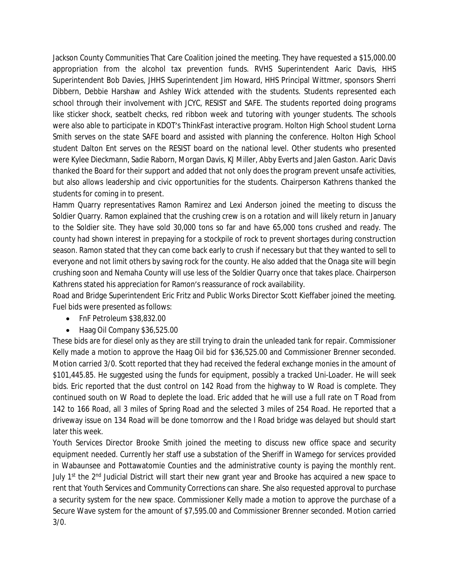Jackson County Communities That Care Coalition joined the meeting. They have requested a \$15,000.00 appropriation from the alcohol tax prevention funds. RVHS Superintendent Aaric Davis, HHS Superintendent Bob Davies, JHHS Superintendent Jim Howard, HHS Principal Wittmer, sponsors Sherri Dibbern, Debbie Harshaw and Ashley Wick attended with the students. Students represented each school through their involvement with JCYC, RESIST and SAFE. The students reported doing programs like sticker shock, seatbelt checks, red ribbon week and tutoring with younger students. The schools were also able to participate in KDOT's ThinkFast interactive program. Holton High School student Lorna Smith serves on the state SAFE board and assisted with planning the conference. Holton High School student Dalton Ent serves on the RESIST board on the national level. Other students who presented were Kylee Dieckmann, Sadie Raborn, Morgan Davis, KJ Miller, Abby Everts and Jalen Gaston. Aaric Davis thanked the Board for their support and added that not only does the program prevent unsafe activities, but also allows leadership and civic opportunities for the students. Chairperson Kathrens thanked the students for coming in to present.

Hamm Quarry representatives Ramon Ramirez and Lexi Anderson joined the meeting to discuss the Soldier Quarry. Ramon explained that the crushing crew is on a rotation and will likely return in January to the Soldier site. They have sold 30,000 tons so far and have 65,000 tons crushed and ready. The county had shown interest in prepaying for a stockpile of rock to prevent shortages during construction season. Ramon stated that they can come back early to crush if necessary but that they wanted to sell to everyone and not limit others by saving rock for the county. He also added that the Onaga site will begin crushing soon and Nemaha County will use less of the Soldier Quarry once that takes place. Chairperson Kathrens stated his appreciation for Ramon's reassurance of rock availability.

Road and Bridge Superintendent Eric Fritz and Public Works Director Scott Kieffaber joined the meeting. Fuel bids were presented as follows:

- FnF Petroleum \$38,832.00
- Haag Oil Company \$36,525.00

These bids are for diesel only as they are still trying to drain the unleaded tank for repair. Commissioner Kelly made a motion to approve the Haag Oil bid for \$36,525.00 and Commissioner Brenner seconded. Motion carried 3/0. Scott reported that they had received the federal exchange monies in the amount of \$101,445.85. He suggested using the funds for equipment, possibly a tracked Uni-Loader. He will seek bids. Eric reported that the dust control on 142 Road from the highway to W Road is complete. They continued south on W Road to deplete the load. Eric added that he will use a full rate on T Road from 142 to 166 Road, all 3 miles of Spring Road and the selected 3 miles of 254 Road. He reported that a driveway issue on 134 Road will be done tomorrow and the I Road bridge was delayed but should start later this week.

Youth Services Director Brooke Smith joined the meeting to discuss new office space and security equipment needed. Currently her staff use a substation of the Sheriff in Wamego for services provided in Wabaunsee and Pottawatomie Counties and the administrative county is paying the monthly rent. July 1<sup>st</sup> the 2<sup>nd</sup> Judicial District will start their new grant year and Brooke has acquired a new space to rent that Youth Services and Community Corrections can share. She also requested approval to purchase a security system for the new space. Commissioner Kelly made a motion to approve the purchase of a Secure Wave system for the amount of \$7,595.00 and Commissioner Brenner seconded. Motion carried 3/0.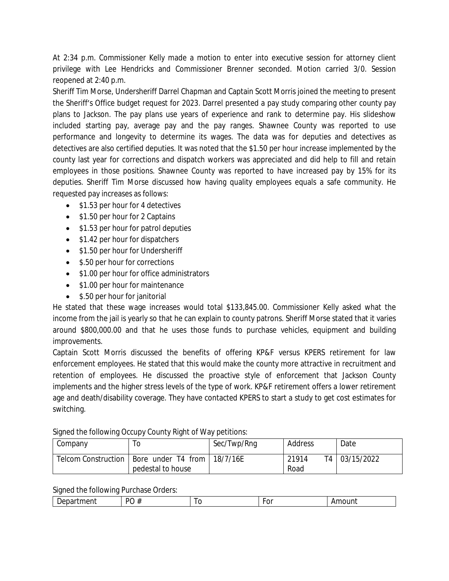At 2:34 p.m. Commissioner Kelly made a motion to enter into executive session for attorney client privilege with Lee Hendricks and Commissioner Brenner seconded. Motion carried 3/0. Session reopened at 2:40 p.m.

Sheriff Tim Morse, Undersheriff Darrel Chapman and Captain Scott Morris joined the meeting to present the Sheriff's Office budget request for 2023. Darrel presented a pay study comparing other county pay plans to Jackson. The pay plans use years of experience and rank to determine pay. His slideshow included starting pay, average pay and the pay ranges. Shawnee County was reported to use performance and longevity to determine its wages. The data was for deputies and detectives as detectives are also certified deputies. It was noted that the \$1.50 per hour increase implemented by the county last year for corrections and dispatch workers was appreciated and did help to fill and retain employees in those positions. Shawnee County was reported to have increased pay by 15% for its deputies. Sheriff Tim Morse discussed how having quality employees equals a safe community. He requested pay increases as follows:

- \$1.53 per hour for 4 detectives
- \$1.50 per hour for 2 Captains
- \$1.53 per hour for patrol deputies
- \$1.42 per hour for dispatchers
- \$1.50 per hour for Undersheriff
- \$.50 per hour for corrections
- \$1.00 per hour for office administrators
- \$1.00 per hour for maintenance
- \$.50 per hour for janitorial

He stated that these wage increases would total \$133,845.00. Commissioner Kelly asked what the income from the jail is yearly so that he can explain to county patrons. Sheriff Morse stated that it varies around \$800,000.00 and that he uses those funds to purchase vehicles, equipment and building improvements.

Captain Scott Morris discussed the benefits of offering KP&F versus KPERS retirement for law enforcement employees. He stated that this would make the county more attractive in recruitment and retention of employees. He discussed the proactive style of enforcement that Jackson County implements and the higher stress levels of the type of work. KP&F retirement offers a lower retirement age and death/disability coverage. They have contacted KPERS to start a study to get cost estimates for switching.

| Company | l O                                                 | Sec/Twp/Rng | Address | Date          |
|---------|-----------------------------------------------------|-------------|---------|---------------|
|         | Telcom Construction   Bore under T4 from   18/7/16E |             | 21914   | T4 03/15/2022 |
|         | pedestal to house                                   |             | Road    |               |

Signed the following Occupy County Right of Way petitions:

Signed the following Purchase Orders:

| - | ۰. | $\sim$ | _____ | ___ |
|---|----|--------|-------|-----|
|   |    |        |       |     |